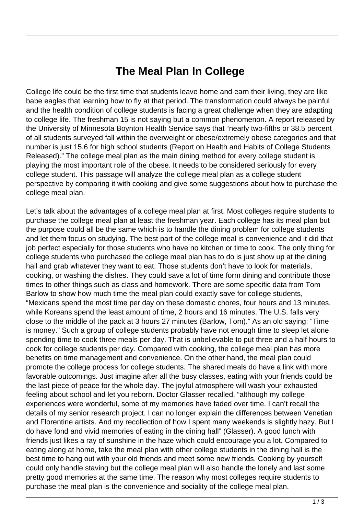## **The Meal Plan In College**

College life could be the first time that students leave home and earn their living, they are like babe eagles that learning how to fly at that period. The transformation could always be painful and the health condition of college students is facing a great challenge when they are adapting to college life. The freshman 15 is not saying but a common phenomenon. A report released by the University of Minnesota Boynton Health Service says that "nearly two-fifths or 38.5 percent of all students surveyed fall within the overweight or obese/extremely obese categories and that number is just 15.6 for high school students (Report on Health and Habits of College Students Released)." The college meal plan as the main dining method for every college student is playing the most important role of the obese. It needs to be considered seriously for every college student. This passage will analyze the college meal plan as a college student perspective by comparing it with cooking and give some suggestions about how to purchase the college meal plan.

Let's talk about the advantages of a college meal plan at first. Most colleges require students to purchase the college meal plan at least the freshman year. Each college has its meal plan but the purpose could all be the same which is to handle the dining problem for college students and let them focus on studying. The best part of the college meal is convenience and it did that job perfect especially for those students who have no kitchen or time to cook. The only thing for college students who purchased the college meal plan has to do is just show up at the dining hall and grab whatever they want to eat. Those students don't have to look for materials, cooking, or washing the dishes. They could save a lot of time form dining and contribute those times to other things such as class and homework. There are some specific data from Tom Barlow to show how much time the meal plan could exactly save for college students, "Mexicans spend the most time per day on these domestic chores, four hours and 13 minutes, while Koreans spend the least amount of time, 2 hours and 16 minutes. The U.S. falls very close to the middle of the pack at 3 hours 27 minutes (Barlow, Tom)." As an old saying: "Time is money." Such a group of college students probably have not enough time to sleep let alone spending time to cook three meals per day. That is unbelievable to put three and a half hours to cook for college students per day. Compared with cooking, the college meal plan has more benefits on time management and convenience. On the other hand, the meal plan could promote the college process for college students. The shared meals do have a link with more favorable outcomings. Just imagine after all the busy classes, eating with your friends could be the last piece of peace for the whole day. The joyful atmosphere will wash your exhausted feeling about school and let you reborn. Doctor Glasser recalled, "although my college experiences were wonderful, some of my memories have faded over time. I can't recall the details of my senior research project. I can no longer explain the differences between Venetian and Florentine artists. And my recollection of how I spent many weekends is slightly hazy. But I do have fond and vivid memories of eating in the dining hall" (Glasser). A good lunch with friends just likes a ray of sunshine in the haze which could encourage you a lot. Compared to eating along at home, take the meal plan with other college students in the dining hall is the best time to hang out with your old friends and meet some new friends. Cooking by yourself could only handle staving but the college meal plan will also handle the lonely and last some pretty good memories at the same time. The reason why most colleges require students to purchase the meal plan is the convenience and sociality of the college meal plan.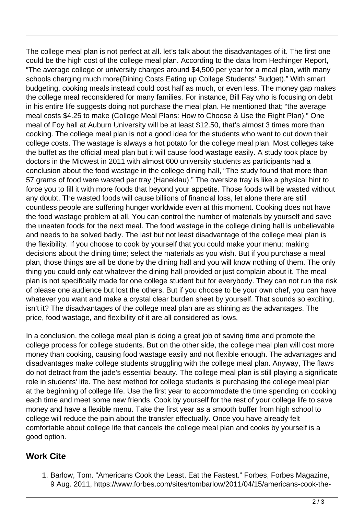The college meal plan is not perfect at all. let's talk about the disadvantages of it. The first one could be the high cost of the college meal plan. According to the data from Hechinger Report, "The average college or university charges around \$4,500 per year for a meal plan, with many schools charging much more(Dining Costs Eating up College Students' Budget)." With smart budgeting, cooking meals instead could cost half as much, or even less. The money gap makes the college meal reconsidered for many families. For instance, Bill Fay who is focusing on debt in his entire life suggests doing not purchase the meal plan. He mentioned that; "the average meal costs \$4.25 to make (College Meal Plans: How to Choose & Use the Right Plan)." One meal of Foy hall at Auburn University will be at least \$12.50, that's almost 3 times more than cooking. The college meal plan is not a good idea for the students who want to cut down their college costs. The wastage is always a hot potato for the college meal plan. Most colleges take the buffet as the official meal plan but it will cause food wastage easily. A study took place by doctors in the Midwest in 2011 with almost 600 university students as participants had a conclusion about the food wastage in the college dining hall, "The study found that more than 57 grams of food were wasted per tray (Haneklau)." The oversize tray is like a physical hint to force you to fill it with more foods that beyond your appetite. Those foods will be wasted without any doubt. The wasted foods will cause billions of financial loss, let alone there are still countless people are suffering hunger worldwide even at this moment. Cooking does not have the food wastage problem at all. You can control the number of materials by yourself and save the uneaten foods for the next meal. The food wastage in the college dining hall is unbelievable and needs to be solved badly. The last but not least disadvantage of the college meal plan is the flexibility. If you choose to cook by yourself that you could make your menu; making decisions about the dining time; select the materials as you wish. But if you purchase a meal plan, those things are all be done by the dining hall and you will know nothing of them. The only thing you could only eat whatever the dining hall provided or just complain about it. The meal plan is not specifically made for one college student but for everybody. They can not run the risk of please one audience but lost the others. But if you choose to be your own chef, you can have whatever you want and make a crystal clear burden sheet by yourself. That sounds so exciting, isn't it? The disadvantages of the college meal plan are as shining as the advantages. The price, food wastage, and flexibility of it are all considered as lows.

In a conclusion, the college meal plan is doing a great job of saving time and promote the college process for college students. But on the other side, the college meal plan will cost more money than cooking, causing food wastage easily and not flexible enough. The advantages and disadvantages make college students struggling with the college meal plan. Anyway, The flaws do not detract from the jade's essential beauty. The college meal plan is still playing a significate role in students' life. The best method for college students is purchasing the college meal plan at the beginning of college life. Use the first year to accommodate the time spending on cooking each time and meet some new friends. Cook by yourself for the rest of your college life to save money and have a flexible menu. Take the first year as a smooth buffer from high school to college will reduce the pain about the transfer effectually. Once you have already felt comfortable about college life that cancels the college meal plan and cooks by yourself is a good option.

## **Work Cite**

1. Barlow, Tom. "Americans Cook the Least, Eat the Fastest." Forbes, Forbes Magazine, 9 Aug. 2011, https://www.forbes.com/sites/tombarlow/2011/04/15/americans-cook-the